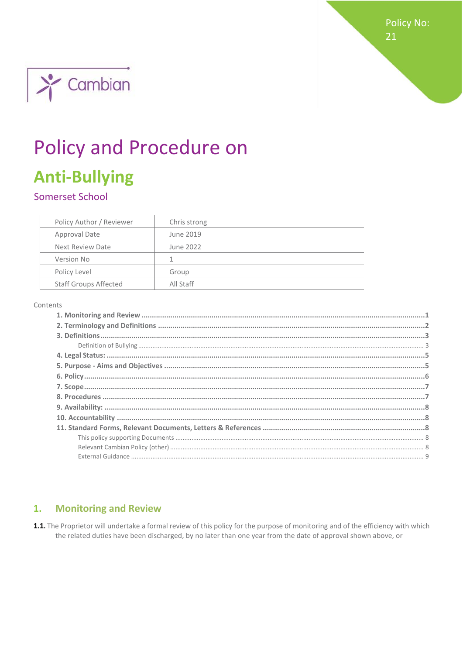**Policy No:** 21



# **Policy and Procedure on**

# **Anti-Bullying**

# Somerset School

| Policy Author / Reviewer     | Chris strong |
|------------------------------|--------------|
| Approval Date                | June 2019    |
| Next Review Date             | June 2022    |
| Version No                   |              |
| Policy Level                 | Group        |
| <b>Staff Groups Affected</b> | All Staff    |

#### Contents

#### <span id="page-0-0"></span>**Monitoring and Review** 1.

1.1. The Proprietor will undertake a formal review of this policy for the purpose of monitoring and of the efficiency with which the related duties have been discharged, by no later than one year from the date of approval shown above, or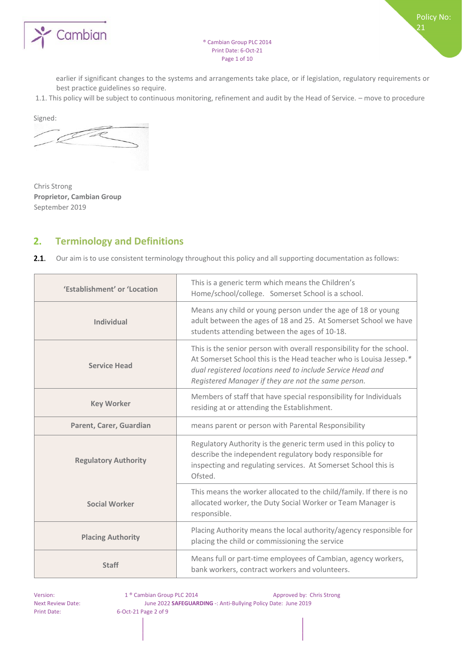

Policy No:

21

earlier if significant changes to the systems and arrangements take place, or if legislation, regulatory requirements or best practice guidelines so require.

1.1. This policy will be subject to continuous monitoring, refinement and audit by the Head of Service. – move to procedure

Signed:

Chris Strong **Proprietor, Cambian Group**  September 2019

# <span id="page-1-0"></span>**2. Terminology and Definitions**

 $2.1.$ Our aim is to use consistent terminology throughout this policy and all supporting documentation as follows:

| 'Establishment' or 'Location | This is a generic term which means the Children's<br>Home/school/college. Somerset School is a school.                                                                                                                                                           |  |
|------------------------------|------------------------------------------------------------------------------------------------------------------------------------------------------------------------------------------------------------------------------------------------------------------|--|
| <b>Individual</b>            | Means any child or young person under the age of 18 or young<br>adult between the ages of 18 and 25. At Somerset School we have<br>students attending between the ages of 10-18.                                                                                 |  |
| <b>Service Head</b>          | This is the senior person with overall responsibility for the school.<br>At Somerset School this is the Head teacher who is Louisa Jessep.*<br>dual registered locations need to include Service Head and<br>Registered Manager if they are not the same person. |  |
| <b>Key Worker</b>            | Members of staff that have special responsibility for Individuals<br>residing at or attending the Establishment.                                                                                                                                                 |  |
| Parent, Carer, Guardian      | means parent or person with Parental Responsibility                                                                                                                                                                                                              |  |
| <b>Regulatory Authority</b>  | Regulatory Authority is the generic term used in this policy to<br>describe the independent regulatory body responsible for<br>inspecting and regulating services. At Somerset School this is<br>Ofsted.                                                         |  |
| <b>Social Worker</b>         | This means the worker allocated to the child/family. If there is no<br>allocated worker, the Duty Social Worker or Team Manager is<br>responsible.                                                                                                               |  |
| <b>Placing Authority</b>     | Placing Authority means the local authority/agency responsible for<br>placing the child or commissioning the service                                                                                                                                             |  |
| <b>Staff</b>                 | Means full or part-time employees of Cambian, agency workers,<br>bank workers, contract workers and volunteers.                                                                                                                                                  |  |

Version: 1 ® Cambian Group PLC 2014 Approved by: Chris Strong Next Review Date: June 2022 **SAFEGUARDING** -: Anti-Bullying Policy Date: June 2019 Print Date: 6-Oct-21 Page 2 of 9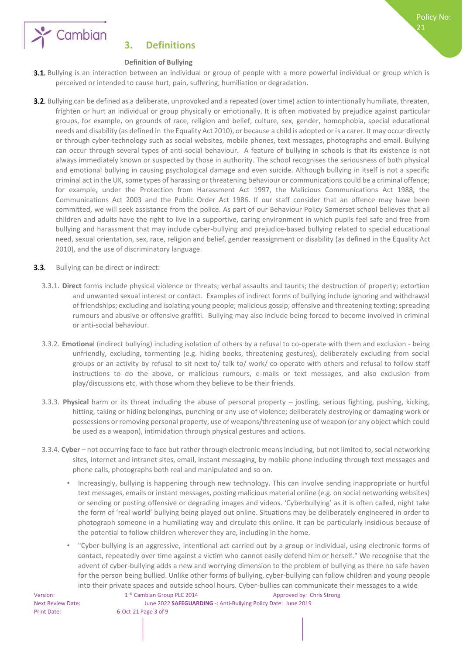

21



# <span id="page-2-0"></span>**3. Definitions**

#### <span id="page-2-1"></span>**Definition of Bullying**

- 3.1. Bullying is an interaction between an individual or group of people with a more powerful individual or group which is perceived or intended to cause hurt, pain, suffering, humiliation or degradation.
- **3.2.** Bullying can be defined as a deliberate, unprovoked and a repeated (over time) action to intentionally humiliate, threaten, frighten or hurt an individual or group physically or emotionally. It is often motivated by prejudice against particular groups, for example, on grounds of race, religion and belief, culture, sex, gender, homophobia, special educational needs and disability (as defined in the Equality Act 2010), or because a child is adopted or is a carer. It may occur directly or through cyber-technology such as social websites, mobile phones, text messages, photographs and email. Bullying can occur through several types of anti-social behaviour. A feature of bullying in schools is that its existence is not always immediately known or suspected by those in authority. The school recognises the seriousness of both physical and emotional bullying in causing psychological damage and even suicide. Although bullying in itself is not a specific criminal act in the UK, some types of harassing or threatening behaviour or communications could be a criminal offence; for example, under the Protection from Harassment Act 1997, the Malicious Communications Act 1988, the Communications Act 2003 and the Public Order Act 1986. If our staff consider that an offence may have been committed, we will seek assistance from the police. As part of our Behaviour Policy Somerset school believes that all children and adults have the right to live in a supportive, caring environment in which pupils feel safe and free from bullying and harassment that may include cyber-bullying and prejudice-based bullying related to special educational need, sexual orientation, sex, race, religion and belief, gender reassignment or disability (as defined in the Equality Act 2010), and the use of discriminatory language.
- $3.3.$ Bullying can be direct or indirect:
	- 3.3.1. **Direct** forms include physical violence or threats; verbal assaults and taunts; the destruction of property; extortion and unwanted sexual interest or contact. Examples of indirect forms of bullying include ignoring and withdrawal of friendships; excluding and isolating young people; malicious gossip; offensive and threatening texting; spreading rumours and abusive or offensive graffiti. Bullying may also include being forced to become involved in criminal or anti-social behaviour.
	- 3.3.2. **Emotiona**l (indirect bullying) including isolation of others by a refusal to co-operate with them and exclusion being unfriendly, excluding, tormenting (e.g. hiding books, threatening gestures), deliberately excluding from social groups or an activity by refusal to sit next to/ talk to/ work/ co-operate with others and refusal to follow staff instructions to do the above, or malicious rumours, e-mails or text messages, and also exclusion from play/discussions etc. with those whom they believe to be their friends.
	- 3.3.3. **Physical** harm or its threat including the abuse of personal property jostling, serious fighting, pushing, kicking, hitting, taking or hiding belongings, punching or any use of violence; deliberately destroying or damaging work or possessions or removing personal property, use of weapons/threatening use of weapon (or any object which could be used as a weapon), intimidation through physical gestures and actions.
	- 3.3.4. **Cyber** not occurring face to face but rather through electronic means including, but not limited to, social networking sites, internet and intranet sites, email, instant messaging, by mobile phone including through text messages and phone calls, photographs both real and manipulated and so on.
		- Increasingly, bullying is happening through new technology. This can involve sending inappropriate or hurtful text messages, emails or instant messages, posting malicious material online (e.g. on social networking websites) or sending or posting offensive or degrading images and videos. 'Cyberbullying' as it is often called, night take the form of 'real world' bullying being played out online. Situations may be deliberately engineered in order to photograph someone in a humiliating way and circulate this online. It can be particularly insidious because of the potential to follow children wherever they are, including in the home.
		- "Cyber-bullying is an aggressive, intentional act carried out by a group or individual, using electronic forms of contact, repeatedly over time against a victim who cannot easily defend him or herself." We recognise that the advent of cyber-bullying adds a new and worrying dimension to the problem of bullying as there no safe haven for the person being bullied. Unlike other forms of bullying, cyber-bullying can follow children and young people into their private spaces and outside school hours. Cyber-bullies can communicate their messages to a wide

Print Date: 6-Oct-21 Page 3 of 9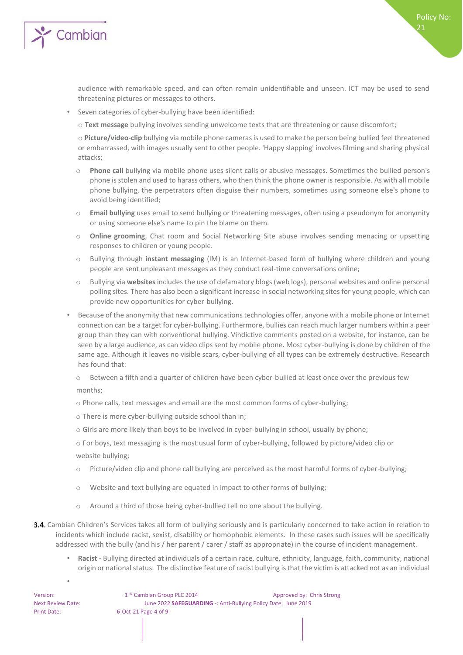

audience with remarkable speed, and can often remain unidentifiable and unseen. ICT may be used to send threatening pictures or messages to others.

Policy No:

21

- Seven categories of cyber-bullying have been identified:
	- o **Text message** bullying involves sending unwelcome texts that are threatening or cause discomfort;

o **Picture/video-clip** bullying via mobile phone cameras is used to make the person being bullied feel threatened or embarrassed, with images usually sent to other people. 'Happy slapping' involves filming and sharing physical attacks;

- o **Phone call** bullying via mobile phone uses silent calls or abusive messages. Sometimes the bullied person's phone is stolen and used to harass others, who then think the phone owner is responsible. As with all mobile phone bullying, the perpetrators often disguise their numbers, sometimes using someone else's phone to avoid being identified;
- o **Email bullying** uses email to send bullying or threatening messages, often using a pseudonym for anonymity or using someone else's name to pin the blame on them.
- o **Online grooming**, Chat room and Social Networking Site abuse involves sending menacing or upsetting responses to children or young people.
- o Bullying through **instant messaging** (IM) is an Internet-based form of bullying where children and young people are sent unpleasant messages as they conduct real-time conversations online;
- o Bullying via **websites** includes the use of defamatory blogs (web logs), personal websites and online personal polling sites. There has also been a significant increase in social networking sites for young people, which can provide new opportunities for cyber-bullying.
- Because of the anonymity that new communications technologies offer, anyone with a mobile phone or Internet connection can be a target for cyber-bullying. Furthermore, bullies can reach much larger numbers within a peer group than they can with conventional bullying. Vindictive comments posted on a website, for instance, can be seen by a large audience, as can video clips sent by mobile phone. Most cyber-bullying is done by children of the same age. Although it leaves no visible scars, cyber-bullying of all types can be extremely destructive. Research has found that:
	- Between a fifth and a quarter of children have been cyber-bullied at least once over the previous few months;
	- o Phone calls, text messages and email are the most common forms of cyber-bullying;
	- o There is more cyber-bullying outside school than in;
	- o Girls are more likely than boys to be involved in cyber-bullying in school, usually by phone;
	- o For boys, text messaging is the most usual form of cyber-bullying, followed by picture/video clip or website bullying;
	- o Picture/video clip and phone call bullying are perceived as the most harmful forms of cyber-bullying;
	- o Website and text bullying are equated in impact to other forms of bullying;
	- Around a third of those being cyber-bullied tell no one about the bullying.
- 3.4. Cambian Children's Services takes all form of bullying seriously and is particularly concerned to take action in relation to incidents which include racist, sexist, disability or homophobic elements. In these cases such issues will be specifically addressed with the bully (and his / her parent / carer / staff as appropriate) in the course of incident management.
	- **Racist**  Bullying directed at individuals of a certain race, culture, ethnicity, language, faith, community, national origin or national status. The distinctive feature of racist bullying is that the victim is attacked not as an individual

•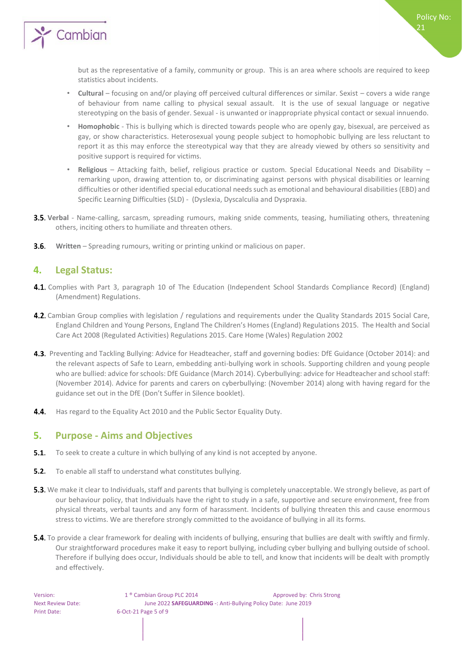

but as the representative of a family, community or group. This is an area where schools are required to keep statistics about incidents.

- **Cultural** focusing on and/or playing off perceived cultural differences or similar. Sexist covers a wide range of behaviour from name calling to physical sexual assault. It is the use of sexual language or negative stereotyping on the basis of gender. Sexual - is unwanted or inappropriate physical contact or sexual innuendo.
- **Homophobic** This is bullying which is directed towards people who are openly gay, bisexual, are perceived as gay, or show characteristics. Heterosexual young people subject to homophobic bullying are less reluctant to report it as this may enforce the stereotypical way that they are already viewed by others so sensitivity and positive support is required for victims.
- **Religious** Attacking faith, belief, religious practice or custom. Special Educational Needs and Disability remarking upon, drawing attention to, or discriminating against persons with physical disabilities or learning difficulties or other identified special educational needs such as emotional and behavioural disabilities (EBD) and Specific Learning Difficulties (SLD) - (Dyslexia, Dyscalculia and Dyspraxia.
- **3.5. Verbal** Name-calling, sarcasm, spreading rumours, making snide comments, teasing, humiliating others, threatening others, inciting others to humiliate and threaten others.
- $3.6.$ **Written** – Spreading rumours, writing or printing unkind or malicious on paper.

#### <span id="page-4-0"></span>**4. Legal Status:**

- 4.1. Complies with Part 3, paragraph 10 of The Education (Independent School Standards Compliance Record) (England) (Amendment) Regulations.
- 4.2. Cambian Group complies with legislation / regulations and requirements under the Quality Standards 2015 Social Care, England Children and Young Persons, England The Children's Homes (England) Regulations 2015. The Health and Social Care Act 2008 (Regulated Activities) Regulations 2015. Care Home (Wales) Regulation 2002
- 4.3. Preventing and Tackling Bullying: Advice for Headteacher, staff and governing bodies: DfE Guidance (October 2014): and the relevant aspects of Safe to Learn, embedding anti-bullying work in schools. Supporting children and young people who are bullied: advice for schools: DfE Guidance (March 2014). Cyberbullying: advice for Headteacher and school staff: (November 2014). Advice for parents and carers on cyberbullying: (November 2014) along with having regard for the guidance set out in the DfE (Don't Suffer in Silence booklet).
- 4.4. Has regard to the Equality Act 2010 and the Public Sector Equality Duty.

#### <span id="page-4-1"></span>**5. Purpose - Aims and Objectives**

- **5.1.** To seek to create a culture in which bullying of any kind is not accepted by anyone.
- **5.2.** To enable all staff to understand what constitutes bullying.
- 5.3. We make it clear to Individuals, staff and parents that bullying is completely unacceptable. We strongly believe, as part of our behaviour policy, that Individuals have the right to study in a safe, supportive and secure environment, free from physical threats, verbal taunts and any form of harassment. Incidents of bullying threaten this and cause enormous stress to victims. We are therefore strongly committed to the avoidance of bullying in all its forms.
- **5.4.** To provide a clear framework for dealing with incidents of bullying, ensuring that bullies are dealt with swiftly and firmly. Our straightforward procedures make it easy to report bullying, including cyber bullying and bullying outside of school. Therefore if bullying does occur, Individuals should be able to tell, and know that incidents will be dealt with promptly and effectively.

21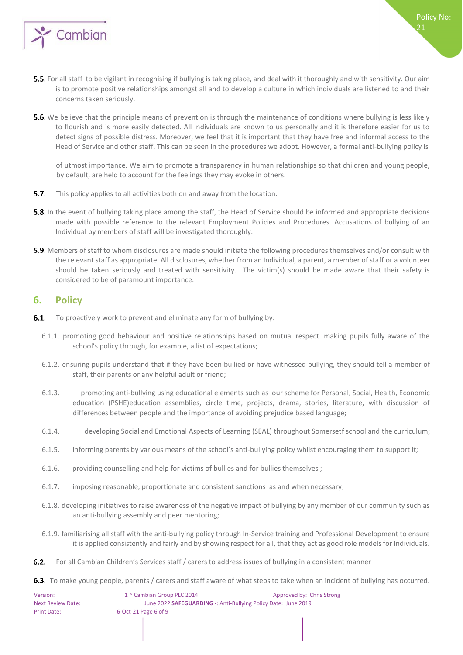

5.5. For all staff to be vigilant in recognising if bullying is taking place, and deal with it thoroughly and with sensitivity. Our aim is to promote positive relationships amongst all and to develop a culture in which individuals are listened to and their concerns taken seriously.

Policy No:

21

**5.6.** We believe that the principle means of prevention is through the maintenance of conditions where bullying is less likely to flourish and is more easily detected. All Individuals are known to us personally and it is therefore easier for us to detect signs of possible distress. Moreover, we feel that it is important that they have free and informal access to the Head of Service and other staff. This can be seen in the procedures we adopt. However, a formal anti-bullying policy is

of utmost importance. We aim to promote a transparency in human relationships so that children and young people, by default, are held to account for the feelings they may evoke in others.

- $5.7.$ This policy applies to all activities both on and away from the location.
- **5.8.** In the event of bullying taking place among the staff, the Head of Service should be informed and appropriate decisions made with possible reference to the relevant Employment Policies and Procedures. Accusations of bullying of an Individual by members of staff will be investigated thoroughly.
- 5.9. Members of staff to whom disclosures are made should initiate the following procedures themselves and/or consult with the relevant staff as appropriate. All disclosures, whether from an Individual, a parent, a member of staff or a volunteer should be taken seriously and treated with sensitivity. The victim(s) should be made aware that their safety is considered to be of paramount importance.

#### <span id="page-5-0"></span>**6. Policy**

- $6.1.$ To proactively work to prevent and eliminate any form of bullying by:
	- 6.1.1. promoting good behaviour and positive relationships based on mutual respect. making pupils fully aware of the school's policy through, for example, a list of expectations;
	- 6.1.2. ensuring pupils understand that if they have been bullied or have witnessed bullying, they should tell a member of staff, their parents or any helpful adult or friend;
	- 6.1.3. promoting anti-bullying using educational elements such as our scheme for Personal, Social, Health, Economic education (PSHE)education assemblies, circle time, projects, drama, stories, literature, with discussion of differences between people and the importance of avoiding prejudice based language;
	- 6.1.4. developing Social and Emotional Aspects of Learning (SEAL) throughout Somersetf school and the curriculum;
	- 6.1.5. informing parents by various means of the school's anti-bullying policy whilst encouraging them to support it;
	- 6.1.6. providing counselling and help for victims of bullies and for bullies themselves ;
	- 6.1.7. imposing reasonable, proportionate and consistent sanctions as and when necessary;
	- 6.1.8. developing initiatives to raise awareness of the negative impact of bullying by any member of our community such as an anti-bullying assembly and peer mentoring;
	- 6.1.9. familiarising all staff with the anti-bullying policy through In-Service training and Professional Development to ensure it is applied consistently and fairly and by showing respect for all, that they act as good role models for Individuals.
- $6.2.$ For all Cambian Children's Services staff / carers to address issues of bullying in a consistent manner
- 6.3. To make young people, parents / carers and staff aware of what steps to take when an incident of bullying has occurred.

| Version:          | 1 <sup>®</sup> Cambian Group PLC 2014 | Approved by: Chris Strong                                      |  |  |
|-------------------|---------------------------------------|----------------------------------------------------------------|--|--|
| Next Review Date: |                                       | June 2022 SAFEGUARDING -: Anti-Bullying Policy Date: June 2019 |  |  |
| Print Date:       | $6$ -Oct-21 Page 6 of 9               |                                                                |  |  |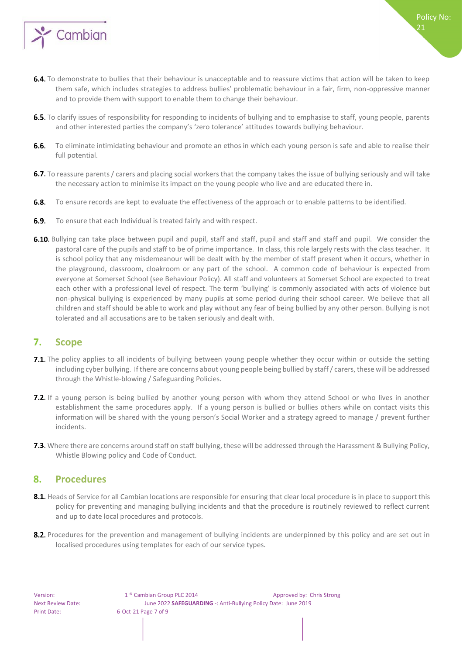

- 6.4. To demonstrate to bullies that their behaviour is unacceptable and to reassure victims that action will be taken to keep them safe, which includes strategies to address bullies' problematic behaviour in a fair, firm, non-oppressive manner and to provide them with support to enable them to change their behaviour.
- **6.5.** To clarify issues of responsibility for responding to incidents of bullying and to emphasise to staff, young people, parents and other interested parties the company's 'zero tolerance' attitudes towards bullying behaviour.
- 6.6. To eliminate intimidating behaviour and promote an ethos in which each young person is safe and able to realise their full potential.
- 6.7. To reassure parents / carers and placing social workers that the company takes the issue of bullying seriously and will take the necessary action to minimise its impact on the young people who live and are educated there in.
- $6.8.$ To ensure records are kept to evaluate the effectiveness of the approach or to enable patterns to be identified.
- $6.9.$ To ensure that each Individual is treated fairly and with respect.
- 6.10. Bullying can take place between pupil and pupil, staff and staff, pupil and staff and staff and pupil. We consider the pastoral care of the pupils and staff to be of prime importance. In class, this role largely rests with the class teacher. It is school policy that any misdemeanour will be dealt with by the member of staff present when it occurs, whether in the playground, classroom, cloakroom or any part of the school. A common code of behaviour is expected from everyone at Somerset School (see Behaviour Policy). All staff and volunteers at Somerset School are expected to treat each other with a professional level of respect. The term 'bullying' is commonly associated with acts of violence but non-physical bullying is experienced by many pupils at some period during their school career. We believe that all children and staff should be able to work and play without any fear of being bullied by any other person. Bullying is not tolerated and all accusations are to be taken seriously and dealt with.

#### <span id="page-6-0"></span>**7. Scope**

- 7.1. The policy applies to all incidents of bullying between young people whether they occur within or outside the setting including cyber bullying. If there are concerns about young people being bullied by staff / carers, these will be addressed through the Whistle-blowing / Safeguarding Policies.
- 7.2. If a young person is being bullied by another young person with whom they attend School or who lives in another establishment the same procedures apply. If a young person is bullied or bullies others while on contact visits this information will be shared with the young person's Social Worker and a strategy agreed to manage / prevent further incidents.
- 7.3. Where there are concerns around staff on staff bullying, these will be addressed through the Harassment & Bullying Policy, Whistle Blowing policy and Code of Conduct.

#### <span id="page-6-1"></span>**8. Procedures**

- 8.1. Heads of Service for all Cambian locations are responsible for ensuring that clear local procedure is in place to support this policy for preventing and managing bullying incidents and that the procedure is routinely reviewed to reflect current and up to date local procedures and protocols.
- 8.2. Procedures for the prevention and management of bullying incidents are underpinned by this policy and are set out in localised procedures using templates for each of our service types.

21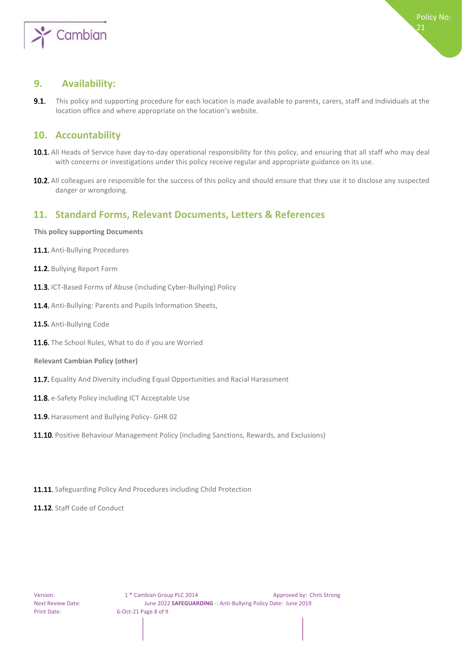

 $21$ 

#### <span id="page-7-0"></span>**9. Availability:**

 $9.1.$ This policy and supporting procedure for each location is made available to parents, carers, staff and Individuals at the location office and where appropriate on the location's website.

### <span id="page-7-1"></span>**10. Accountability**

- 10.1. All Heads of Service have day-to-day operational responsibility for this policy, and ensuring that all staff who may deal with concerns or investigations under this policy receive regular and appropriate guidance on its use.
- **10.2.** All colleagues are responsible for the success of this policy and should ensure that they use it to disclose any suspected danger or wrongdoing.

# <span id="page-7-2"></span>**11. Standard Forms, Relevant Documents, Letters & References**

<span id="page-7-3"></span>**This policy supporting Documents** 

- 11.1. Anti-Bullying Procedures
- 11.2. Bullying Report Form
- 11.3. ICT-Based Forms of Abuse (including Cyber-Bullying) Policy
- 11.4. Anti-Bullying: Parents and Pupils Information Sheets.
- 11.5. Anti-Bullying Code
- 11.6. The School Rules, What to do if you are Worried
- <span id="page-7-4"></span>**Relevant Cambian Policy (other)**
- 11.7. Equality And Diversity including Equal Opportunities and Racial Harassment
- 11.8. e-Safety Policy including ICT Acceptable Use
- 11.9. Harassment and Bullying Policy- GHR 02
- 11.10. Positive Behaviour Management Policy (including Sanctions, Rewards, and Exclusions)
- 11.11. Safeguarding Policy And Procedures including Child Protection
- 11.12. Staff Code of Conduct